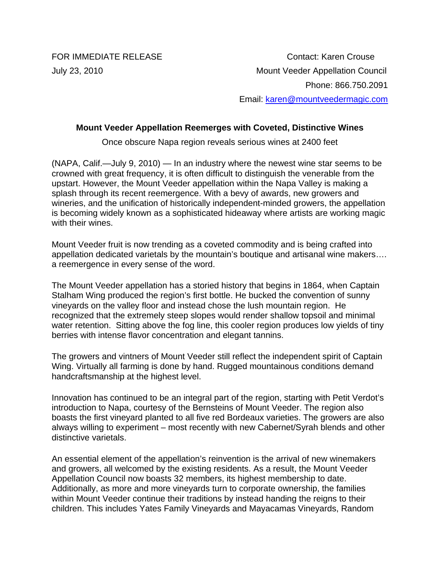FOR IMMEDIATE RELEASE Contact: Karen Crouse July 23, 2010 Mount Veeder Appellation Council Phone: 866.750.2091 Email: karen@mountveedermagic.com

## **Mount Veeder Appellation Reemerges with Coveted, Distinctive Wines**

Once obscure Napa region reveals serious wines at 2400 feet

(NAPA, Calif.—July 9, 2010) — In an industry where the newest wine star seems to be crowned with great frequency, it is often difficult to distinguish the venerable from the upstart. However, the Mount Veeder appellation within the Napa Valley is making a splash through its recent reemergence. With a bevy of awards, new growers and wineries, and the unification of historically independent-minded growers, the appellation is becoming widely known as a sophisticated hideaway where artists are working magic with their wines.

Mount Veeder fruit is now trending as a coveted commodity and is being crafted into appellation dedicated varietals by the mountain's boutique and artisanal wine makers…. a reemergence in every sense of the word.

The Mount Veeder appellation has a storied history that begins in 1864, when Captain Stalham Wing produced the region's first bottle. He bucked the convention of sunny vineyards on the valley floor and instead chose the lush mountain region. He recognized that the extremely steep slopes would render shallow topsoil and minimal water retention. Sitting above the fog line, this cooler region produces low yields of tiny berries with intense flavor concentration and elegant tannins.

The growers and vintners of Mount Veeder still reflect the independent spirit of Captain Wing. Virtually all farming is done by hand. Rugged mountainous conditions demand handcraftsmanship at the highest level.

Innovation has continued to be an integral part of the region, starting with Petit Verdot's introduction to Napa, courtesy of the Bernsteins of Mount Veeder. The region also boasts the first vineyard planted to all five red Bordeaux varieties. The growers are also always willing to experiment – most recently with new Cabernet/Syrah blends and other distinctive varietals.

An essential element of the appellation's reinvention is the arrival of new winemakers and growers, all welcomed by the existing residents. As a result, the Mount Veeder Appellation Council now boasts 32 members, its highest membership to date. Additionally, as more and more vineyards turn to corporate ownership, the families within Mount Veeder continue their traditions by instead handing the reigns to their children. This includes Yates Family Vineyards and Mayacamas Vineyards, Random